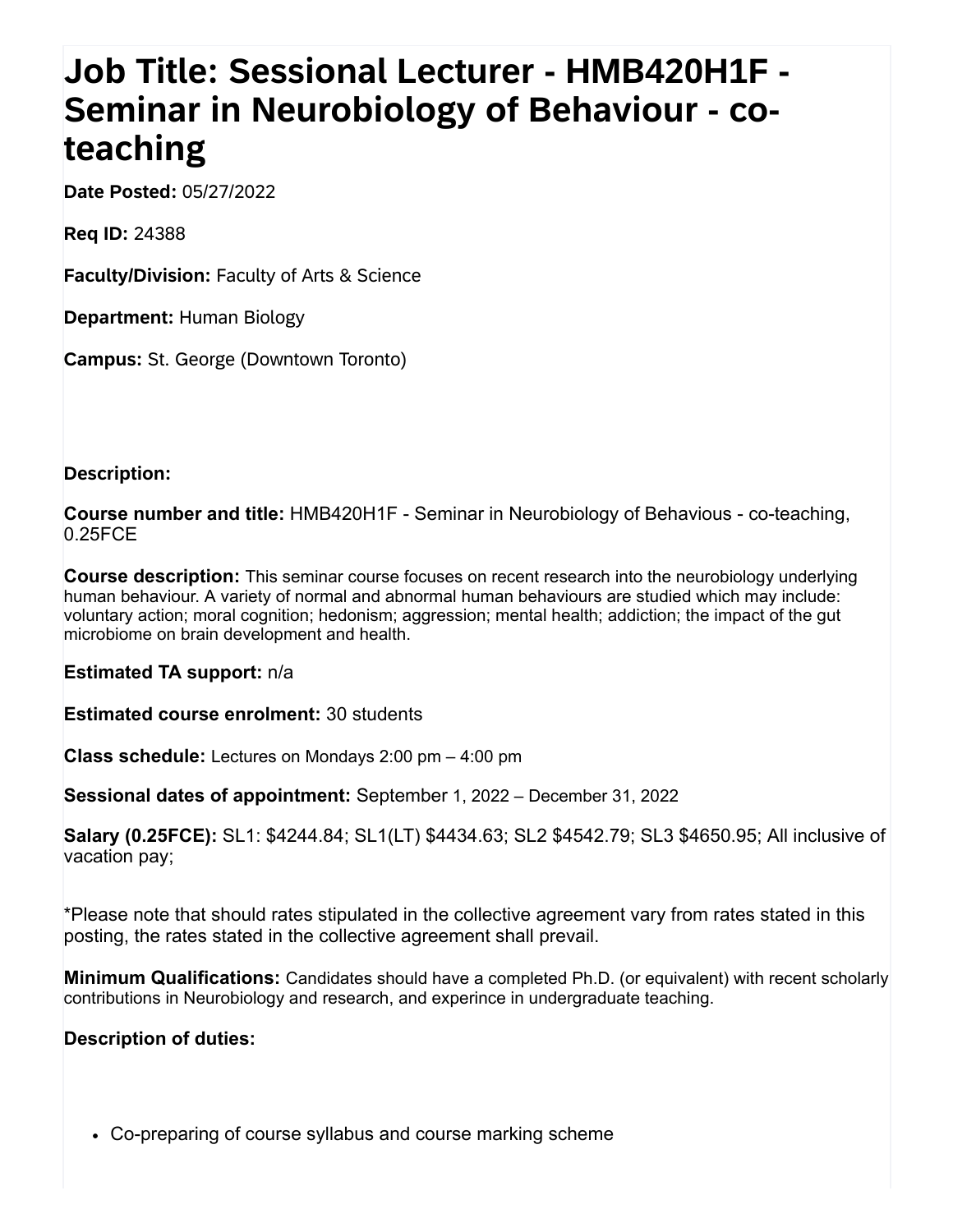## **Job Title: Sessional Lecturer - HMB420H1F - Seminar in Neurobiology of Behaviour - coteaching**

**Date Posted:** 05/27/2022

**Req ID:** 24388

**Faculty/Division:** Faculty of Arts & Science

**Department:** Human Biology

**Campus:** St. George (Downtown Toronto)

## **Description:**

**Course number and title:** HMB420H1F - Seminar in Neurobiology of Behavious - co-teaching, 0.25FCE

**Course description:** This seminar course focuses on recent research into the neurobiology underlying human behaviour. A variety of normal and abnormal human behaviours are studied which may include: voluntary action; moral cognition; hedonism; aggression; mental health; addiction; the impact of the gut microbiome on brain development and health.

**Estimated TA support:** n/a

**Estimated course enrolment:** 30 students

**Class schedule:** Lectures on Mondays 2:00 pm – 4:00 pm

**Sessional dates of appointment:** September 1, 2022 – December 31, 2022

**Salary (0.25FCE):** SL1: \$4244.84; SL1(LT) \$4434.63; SL2 \$4542.79; SL3 \$4650.95; All inclusive of vacation pay;

\*Please note that should rates stipulated in the collective agreement vary from rates stated in this posting, the rates stated in the collective agreement shall prevail.

**Minimum Qualifications:** Candidates should have a completed Ph.D. (or equivalent) with recent scholarly contributions in Neurobiology and research, and experince in undergraduate teaching.

## **Description of duties:**

Co-preparing of course syllabus and course marking scheme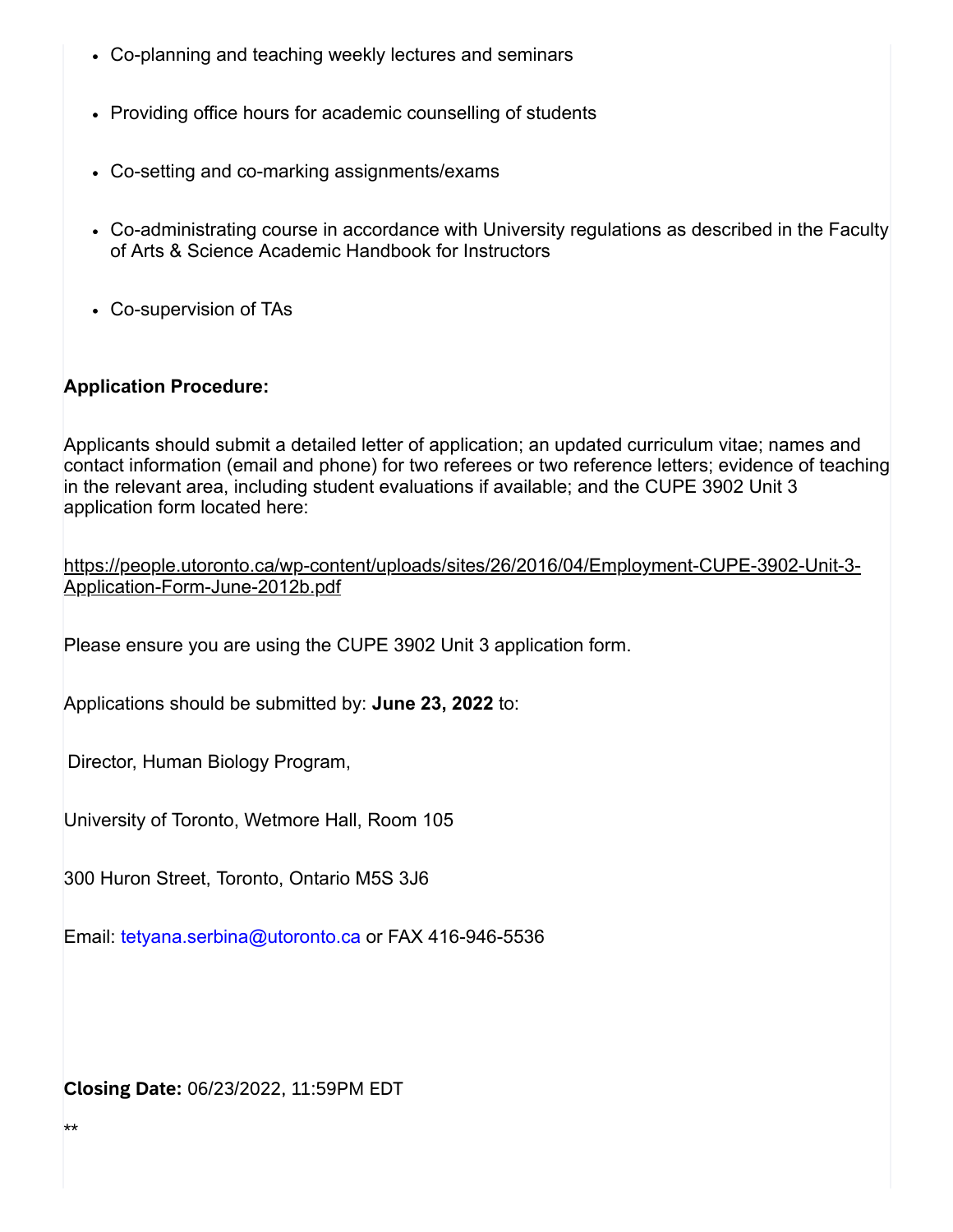- Co-planning and teaching weekly lectures and seminars
- Providing office hours for academic counselling of students
- Co-setting and co-marking assignments/exams
- Co-administrating course in accordance with University regulations as described in the Faculty of Arts & Science Academic Handbook for Instructors
- Co-supervision of TAs

## **Application Procedure:**

Applicants should submit a detailed letter of application; an updated curriculum vitae; names and contact information (email and phone) for two referees or two reference letters; evidence of teaching in the relevant area, including student evaluations if available; and the CUPE 3902 Unit 3 application form located here:

|                                 | https://people.utoronto.ca/wp-content/uploads/sites/26/2016/04/Employment-CUPE-3902-Unit-3- |
|---------------------------------|---------------------------------------------------------------------------------------------|
| Application-Form-June-2012b.pdf |                                                                                             |

Please ensure you are using the CUPE 3902 Unit 3 application form.

Applications should be submitted by: **June 23, 2022** to:

Director, Human Biology Program,

University of Toronto, Wetmore Hall, Room 105

300 Huron Street, Toronto, Ontario M5S 3J6

Email: [tetyana.serbina@utoronto.ca](javascript:void(0);) or FAX 416-946-5536

**Closing Date:** 06/23/2022, 11:59PM EDT